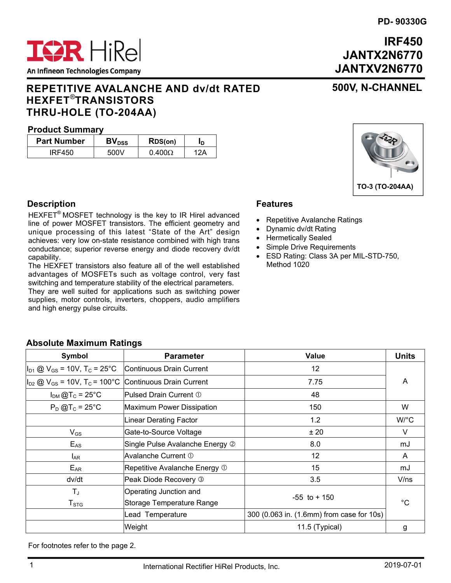# **IRF450 JANTX2N6770 JANTXV2N6770**

**500V, N-CHANNEL**

# **REPETITIVE AVALANCHE AND dv/dt RATED HEXFET**®**TRANSISTORS THRU-HOLE (TO-204AA)**

## **Product Summary**

| <b>Part Number</b> | BV <sub>DSS</sub> | RDS(on)       | חי  |
|--------------------|-------------------|---------------|-----|
| IRF450             | 500V              | $0.400\Omega$ | 12Δ |

# **Description**

HEXFET® MOSFET technology is the key to IR Hirel advanced line of power MOSFET transistors. The efficient geometry and unique processing of this latest "State of the Art" design achieves: very low on-state resistance combined with high trans conductance; superior reverse energy and diode recovery dv/dt capability.

The HEXFET transistors also feature all of the well established advantages of MOSFETs such as voltage control, very fast switching and temperature stability of the electrical parameters.

They are well suited for applications such as switching power supplies, motor controls, inverters, choppers, audio amplifiers and high energy pulse circuits.

## **Features**

- Repetitive Avalanche Ratings
- Dynamic dv/dt Rating
- Hermetically Sealed
- Simple Drive Requirements
- ESD Rating: Class 3A per MIL-STD-750, Method 1020

| Symbol                                                  | <b>Parameter</b>                | <b>Value</b>                              | <b>Units</b> |  |  |
|---------------------------------------------------------|---------------------------------|-------------------------------------------|--------------|--|--|
| $I_{D1}$ @ V <sub>GS</sub> = 10V, T <sub>C</sub> = 25°C | Continuous Drain Current        | 12                                        |              |  |  |
| $I_{D2}$ @ $V_{GS}$ = 10V, T <sub>C</sub> = 100°C       | Continuous Drain Current        | 7.75                                      | A            |  |  |
| $I_{DM}$ @T <sub>C</sub> = 25°C                         | Pulsed Drain Current 1          | 48                                        |              |  |  |
| $P_D$ @T <sub>c</sub> = 25°C                            | Maximum Power Dissipation       | 150                                       | W            |  |  |
|                                                         | Linear Derating Factor          | 1.2                                       | W/°C         |  |  |
| $V_{GS}$                                                | Gate-to-Source Voltage          | ± 20                                      | V            |  |  |
| $E_{AS}$                                                | Single Pulse Avalanche Energy 2 | 8.0                                       | mJ           |  |  |
| $I_{AR}$                                                | Avalanche Current 1             | $12 \overline{ }$                         | A            |  |  |
| $E_{AR}$                                                | Repetitive Avalanche Energy 1   | 15                                        | mJ           |  |  |
| dv/dt                                                   | Peak Diode Recovery 3           | 3.5                                       | V/ns         |  |  |
| $T_{\rm J}$                                             | Operating Junction and          | $-55$ to $+150$                           |              |  |  |
| $T_{\text{STG}}$                                        | Storage Temperature Range       |                                           | $^{\circ}C$  |  |  |
|                                                         | Lead Temperature                | 300 (0.063 in. (1.6mm) from case for 10s) |              |  |  |
|                                                         |                                 |                                           |              |  |  |

Weight 11.5 (Typical) g

For footnotes refer to the page 2.

**Absolute Maximum Ratings** 





An Infineon Technologies Company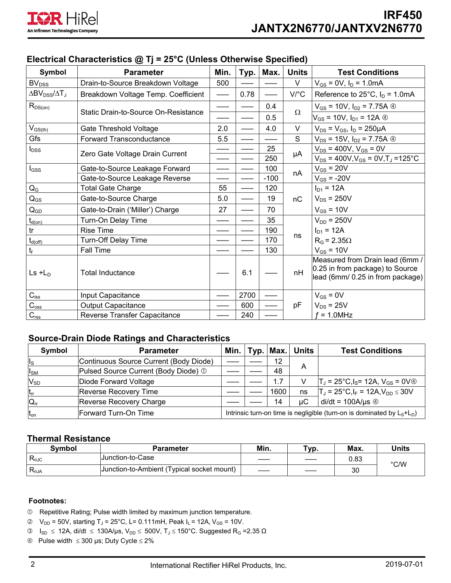

| $\mu$ , $\mu$ , $\mu$ , $\mu$ , $\mu$ , $\mu$ , $\mu$ , $\mu$ , $\mu$ , $\mu$ , $\mu$ , $\mu$ , $\mu$ , $\mu$ , $\mu$ , $\mu$ , $\mu$ , $\mu$ , $\mu$ , $\mu$ , $\mu$ , $\mu$ , $\mu$ , $\mu$ , $\mu$ , $\mu$ , $\mu$ , $\mu$ , $\mu$ , $\mu$ , $\mu$ , $\mu$ |                                      |      |      |        |                      |                                                                                                        |  |
|---------------------------------------------------------------------------------------------------------------------------------------------------------------------------------------------------------------------------------------------------------------|--------------------------------------|------|------|--------|----------------------|--------------------------------------------------------------------------------------------------------|--|
| Symbol                                                                                                                                                                                                                                                        | <b>Parameter</b>                     | Min. | Typ. | Max.   | <b>Units</b>         | <b>Test Conditions</b>                                                                                 |  |
| <b>BV</b> <sub>DSS</sub>                                                                                                                                                                                                                                      | Drain-to-Source Breakdown Voltage    | 500  |      |        | V                    | $V_{GS} = 0V$ , $I_D = 1.0mA$                                                                          |  |
| $\Delta BV_{DSS}/\Delta T_J$                                                                                                                                                                                                                                  | Breakdown Voltage Temp. Coefficient  |      | 0.78 |        | $V$ <sup>o</sup> $C$ | Reference to $25^{\circ}$ C, $I_D = 1.0 \text{mA}$                                                     |  |
| $R_{DS(on)}$                                                                                                                                                                                                                                                  | Static Drain-to-Source On-Resistance |      |      | 0.4    | $\Omega$             | $V_{GS}$ = 10V, $I_{D2}$ = 7.75A $\circledcirc$                                                        |  |
|                                                                                                                                                                                                                                                               |                                      |      |      | 0.5    |                      | $V_{GS}$ = 10V, $I_{D1}$ = 12A $\circledcirc$                                                          |  |
| $V_{GS(th)}$                                                                                                                                                                                                                                                  | Gate Threshold Voltage               | 2.0  |      | 4.0    | V                    | $V_{DS} = V_{GS}$ , $I_D = 250 \mu A$                                                                  |  |
| Gfs                                                                                                                                                                                                                                                           | Forward Transconductance             | 5.5  |      |        | S                    | $V_{DS}$ = 15V, $I_{D2}$ = 7.75A $\circledcirc$                                                        |  |
| $I_{DSS}$                                                                                                                                                                                                                                                     | Zero Gate Voltage Drain Current      |      |      | 25     |                      | $V_{DS}$ = 400V, $V_{GS}$ = 0V                                                                         |  |
|                                                                                                                                                                                                                                                               |                                      |      |      | 250    | μA                   | $V_{DS}$ = 400V, $V_{GS}$ = 0V, T <sub>J</sub> = 125 °C                                                |  |
| $I_{GSS}$                                                                                                                                                                                                                                                     | Gate-to-Source Leakage Forward       |      |      | 100    | nA                   | $V_{GS}$ = 20V                                                                                         |  |
|                                                                                                                                                                                                                                                               | Gate-to-Source Leakage Reverse       |      |      | $-100$ |                      | $V_{GS}$ = -20V                                                                                        |  |
| $Q_{\rm G}$                                                                                                                                                                                                                                                   | <b>Total Gate Charge</b>             | 55   |      | 120    |                      | $I_{D1} = 12A$                                                                                         |  |
| $Q_{GS}$                                                                                                                                                                                                                                                      | Gate-to-Source Charge                | 5.0  |      | 19     | nC                   | $V_{DS}$ = 250V                                                                                        |  |
| $\mathsf{Q}_{\mathsf{GD}}$                                                                                                                                                                                                                                    | Gate-to-Drain ('Miller') Charge      | 27   |      | 70     |                      | $V_{GS}$ = 10V                                                                                         |  |
| $t_{d(on)}$                                                                                                                                                                                                                                                   | Turn-On Delay Time                   |      |      | 35     |                      | $V_{DD}$ = 250V                                                                                        |  |
| tr                                                                                                                                                                                                                                                            | <b>Rise Time</b>                     |      |      | 190    |                      | $I_{D1} = 12A$                                                                                         |  |
| $t_{d(off)}$                                                                                                                                                                                                                                                  | Turn-Off Delay Time                  |      |      | 170    | ns                   | $R_G = 2.35\Omega$                                                                                     |  |
| $t_{\rm f}$                                                                                                                                                                                                                                                   | Fall Time                            |      |      | 130    |                      | $V_{GS}$ = 10V                                                                                         |  |
| $Ls + LD$                                                                                                                                                                                                                                                     | <b>Total Inductance</b>              |      | 6.1  |        | nH                   | Measured from Drain lead (6mm /<br>0.25 in from package) to Source<br>lead (6mm/ 0.25 in from package) |  |
| $C_{\text{iss}}$                                                                                                                                                                                                                                              | Input Capacitance                    |      | 2700 |        |                      | $V_{GS} = 0V$                                                                                          |  |
| $C_{\rm oss}$                                                                                                                                                                                                                                                 | <b>Output Capacitance</b>            |      | 600  |        | pF                   | $V_{DS}$ = 25V                                                                                         |  |
| $C_{rss}$                                                                                                                                                                                                                                                     | Reverse Transfer Capacitance         |      | 240  |        |                      | $f = 1.0$ MHz                                                                                          |  |

# **Electrical Characteristics @ Tj = 25°C (Unless Otherwise Specified)**

## **Source-Drain Diode Ratings and Characteristics**

| Symbol          | <b>Parameter</b>                       |                                                                         |  | Min. $ $ Typ. $ $ Max. $ $ | <b>Units</b> | <b>Test Conditions</b>                                                 |
|-----------------|----------------------------------------|-------------------------------------------------------------------------|--|----------------------------|--------------|------------------------------------------------------------------------|
| lls             | Continuous Source Current (Body Diode) |                                                                         |  | 12                         |              |                                                                        |
| $I_{SM}$        | Pulsed Source Current (Body Diode) ①   |                                                                         |  | 48                         | A            |                                                                        |
| $V_{SD}$        | Diode Forward Voltage                  |                                                                         |  | 1.7                        | V            | $T_J$ = 25°C,l <sub>S</sub> = 12A, V <sub>GS</sub> = 0V $\circledcirc$ |
| $t_{rr}$        | <b>Reverse Recovery Time</b>           |                                                                         |  | 1600                       | ns           | $T_J = 25^{\circ}C, I_F = 12A, V_{DD} \leq 30V$                        |
| $Q_{rr}$        | Reverse Recovery Charge                |                                                                         |  | 14                         | μC           | $di/dt = 100A/\mu s$ 4                                                 |
| $t_{\text{on}}$ | Forward Turn-On Time                   | Intrinsic turn-on time is negligible (turn-on is dominated by $Ls+LD$ ) |  |                            |              |                                                                        |

### **Thermal Resistance**

| <b>Symbol</b>  | Parameter                                  | Min. | Typ.    | Max. | Units |
|----------------|--------------------------------------------|------|---------|------|-------|
| $R_{\theta$ JC | Junction-to-Case                           | ____ | $- - -$ | 0.83 | °C/W  |
| $R_{\theta$ JA | Junction-to-Ambient (Typical socket mount) | ___  | $- - -$ | 30   |       |

#### **Footnotes:**

- Repetitive Rating; Pulse width limited by maximum junction temperature.
- $\degree$  V<sub>DD</sub> = 50V, starting T<sub>J</sub> = 25°C, L= 0.111mH, Peak I<sub>L</sub> = 12A, V<sub>GS</sub> = 10V.
- $\textcircled{3}$  I<sub>SD</sub> ≤ 12A, di/dt ≤ 130A/µs, V<sub>DD</sub> ≤ 500V, T<sub>J</sub> ≤ 150°C. Suggested R<sub>G</sub> =2.35 Ω
- $\circledast$  Pulse width  $\leq$  300 µs; Duty Cycle  $\leq$  2%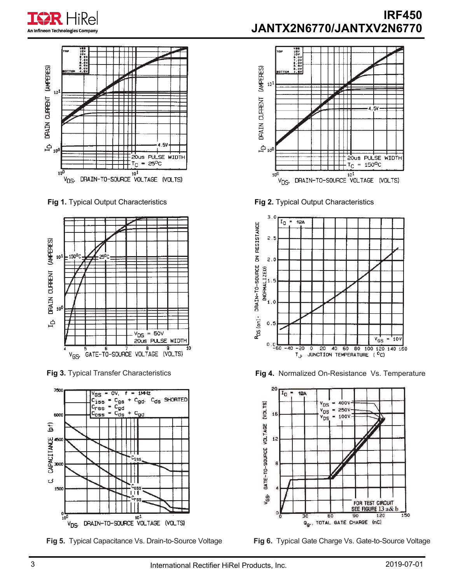





**Fig 1.** Typical Output Characteristics



**Fig 3.** Typical Transfer Characteristics





**Fig 2.** Typical Output Characteristics



**Fig 4.** Normalized On-Resistance Vs. Temperature



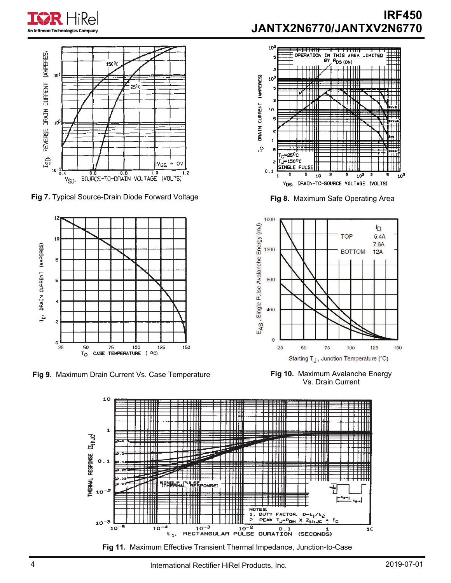



**Fig 7.** Typical Source-Drain Diode Forward Voltage



**Fig 9.** Maximum Drain Current Vs. Case Temperature

# **IRF450 JANTX2N6770/JANTXV2N6770**



**Fig 8.** Maximum Safe Operating Area



**Fig 10.** Maximum Avalanche Energy Vs. Drain Current



**Fig 11.** Maximum Effective Transient Thermal Impedance, Junction-to-Case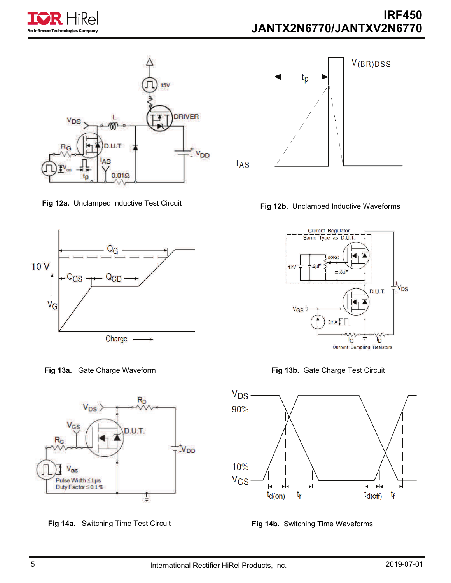







**Fig 14a.** Switching Time Test Circuit **Fig 14b.** Switching Time Waveforms









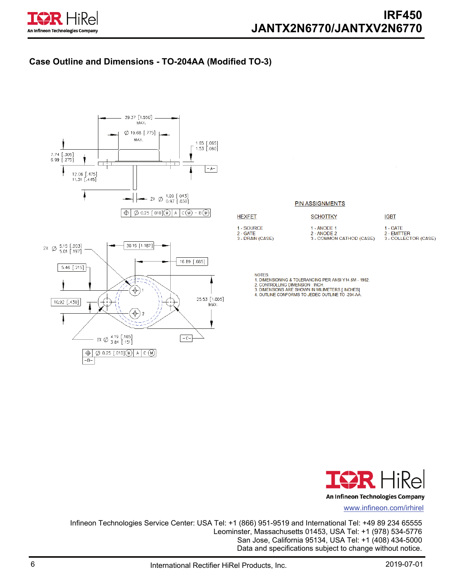

# **Case Outline and Dimensions - TO-204AA (Modified TO-3)**



|                                              | <b>PIN ASSIGNMENTS</b>                                 |                                                 |
|----------------------------------------------|--------------------------------------------------------|-------------------------------------------------|
| <b>HEXFET</b>                                | <b>SCHOTTKY</b>                                        | <b>IGBT</b>                                     |
| 1 - SOURCE<br>$2 - GATE$<br>3 - DRAIN (CASE) | 1 - ANODE 1<br>2 - ANODE 2<br>3 - COMMON CATHOD (CASE) | 1 - GATE<br>2 - EMITTER<br>3 - COLLECTOR (CASE) |

NOTES:

- 1. DIMENSIONING & TOLERANCING PER ANSI Y14.5M 1982.<br>2. CONTROLLING DIMENSION : INCH.
- 
- 2. CONTROLLING DIMENSION . INCH.<br>3. DIMENSIONS ARE SHOWN IN MILIMETERS [ INCHES]<br>4. OUTLINE CONFORMS TO JEDEC OUTLINE TO -204-AA.



www.infineon.com/irhirel

Infineon Technologies Service Center: USA Tel: +1 (866) 951-9519 and International Tel: +49 89 234 65555 Leominster, Massachusetts 01453, USA Tel: +1 (978) 534-5776 San Jose, California 95134, USA Tel: +1 (408) 434-5000 Data and specifications subject to change without notice.